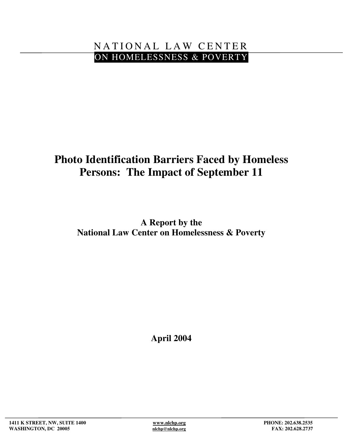## NATIONAL LAW CENTER ON HOMELESSNESS & POVERTY

# **Photo Identification Barriers Faced by Homeless Persons: The Impact of September 11**

**A Report by the National Law Center on Homelessness & Poverty**

**April 2004**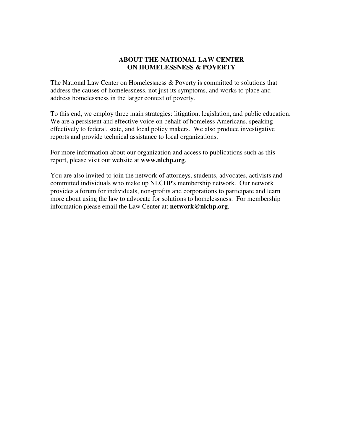#### **ABOUT THE NATIONAL LAW CENTER ON HOMELESSNESS & POVERTY**

The National Law Center on Homelessness & Poverty is committed to solutions that address the causes of homelessness, not just its symptoms, and works to place and address homelessness in the larger context of poverty.

To this end, we employ three main strategies: litigation, legislation, and public education. We are a persistent and effective voice on behalf of homeless Americans, speaking effectively to federal, state, and local policy makers. We also produce investigative reports and provide technical assistance to local organizations.

For more information about our organization and access to publications such as this report, please visit our website at **www.nlchp.org**.

You are also invited to join the network of attorneys, students, advocates, activists and committed individuals who make up NLCHP's membership network. Our network provides a forum for individuals, non-profits and corporations to participate and learn more about using the law to advocate for solutions to homelessness. For membership information please email the Law Center at: **network@nlchp.org**.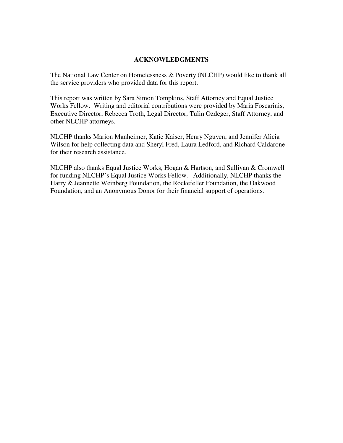#### **ACKNOWLEDGMENTS**

The National Law Center on Homelessness & Poverty (NLCHP) would like to thank all the service providers who provided data for this report.

This report was written by Sara Simon Tompkins, Staff Attorney and Equal Justice Works Fellow. Writing and editorial contributions were provided by Maria Foscarinis, Executive Director, Rebecca Troth, Legal Director, Tulin Ozdeger, Staff Attorney, and other NLCHP attorneys.

NLCHP thanks Marion Manheimer, Katie Kaiser, Henry Nguyen, and Jennifer Alicia Wilson for help collecting data and Sheryl Fred, Laura Ledford, and Richard Caldarone for their research assistance.

NLCHP also thanks Equal Justice Works, Hogan & Hartson, and Sullivan & Cromwell for funding NLCHP's Equal Justice Works Fellow. Additionally, NLCHP thanks the Harry & Jeannette Weinberg Foundation, the Rockefeller Foundation, the Oakwood Foundation, and an Anonymous Donor for their financial support of operations.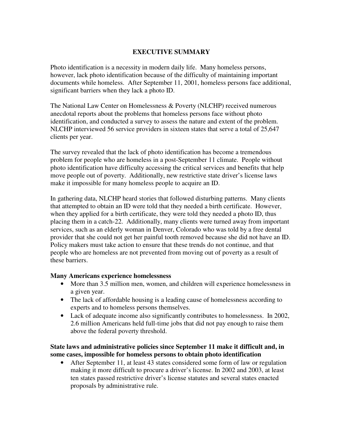#### **EXECUTIVE SUMMARY**

Photo identification is a necessity in modern daily life. Many homeless persons, however, lack photo identification because of the difficulty of maintaining important documents while homeless. After September 11, 2001, homeless persons face additional, significant barriers when they lack a photo ID.

The National Law Center on Homelessness & Poverty (NLCHP) received numerous anecdotal reports about the problems that homeless persons face without photo identification, and conducted a survey to assess the nature and extent of the problem. NLCHP interviewed 56 service providers in sixteen states that serve a total of 25,647 clients per year.

The survey revealed that the lack of photo identification has become a tremendous problem for people who are homeless in a post-September 11 climate. People without photo identification have difficulty accessing the critical services and benefits that help move people out of poverty. Additionally, new restrictive state driver's license laws make it impossible for many homeless people to acquire an ID.

In gathering data, NLCHP heard stories that followed disturbing patterns. Many clients that attempted to obtain an ID were told that they needed a birth certificate. However, when they applied for a birth certificate, they were told they needed a photo ID, thus placing them in a catch-22. Additionally, many clients were turned away from important services, such as an elderly woman in Denver, Colorado who was told by a free dental provider that she could not get her painful tooth removed because she did not have an ID. Policy makers must take action to ensure that these trends do not continue, and that people who are homeless are not prevented from moving out of poverty as a result of these barriers.

#### **Many Americans experience homelessness**

- More than 3.5 million men, women, and children will experience homelessness in a given year.
- The lack of affordable housing is a leading cause of homelessness according to experts and to homeless persons themselves.
- Lack of adequate income also significantly contributes to homelessness. In 2002, 2.6 million Americans held full-time jobs that did not pay enough to raise them above the federal poverty threshold.

#### **State laws and administrative policies since September 11 make it difficult and, in some cases, impossible for homeless persons to obtain photo identification**

• After September 11, at least 43 states considered some form of law or regulation making it more difficult to procure a driver's license. In 2002 and 2003, at least ten states passed restrictive driver's license statutes and several states enacted proposals by administrative rule.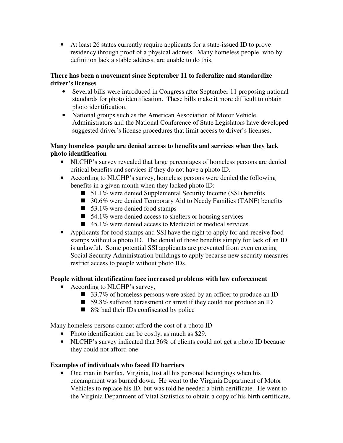• At least 26 states currently require applicants for a state-issued ID to prove residency through proof of a physical address. Many homeless people, who by definition lack a stable address, are unable to do this.

## **There has been a movement since September 11 to federalize and standardize driver's licenses**

- Several bills were introduced in Congress after September 11 proposing national standards for photo identification. These bills make it more difficult to obtain photo identification.
- National groups such as the American Association of Motor Vehicle Administrators and the National Conference of State Legislators have developed suggested driver's license procedures that limit access to driver's licenses.

## **Many homeless people are denied access to benefits and services when they lack photo identification**

- NLCHP's survey revealed that large percentages of homeless persons are denied critical benefits and services if they do not have a photo ID.
- According to NLCHP's survey, homeless persons were denied the following benefits in a given month when they lacked photo ID:
	- 51.1% were denied Supplemental Security Income (SSI) benefits
	- 30.6% were denied Temporary Aid to Needy Families (TANF) benefits
	- 53.1% were denied food stamps
	- $\blacksquare$  54.1% were denied access to shelters or housing services
	- 45.1% were denied access to Medicaid or medical services.
- Applicants for food stamps and SSI have the right to apply for and receive food stamps without a photo ID. The denial of those benefits simply for lack of an ID is unlawful. Some potential SSI applicants are prevented from even entering Social Security Administration buildings to apply because new security measures restrict access to people without photo IDs.

## **People without identification face increased problems with law enforcement**

- According to NLCHP's survey,
	- 33.7% of homeless persons were asked by an officer to produce an ID
	- 59.8% suffered harassment or arrest if they could not produce an ID
	- 8% had their IDs confiscated by police

Many homeless persons cannot afford the cost of a photo ID

- Photo identification can be costly, as much as \$29.
- NLCHP's survey indicated that 36% of clients could not get a photo ID because they could not afford one.

## **Examples of individuals who faced ID barriers**

• One man in Fairfax, Virginia, lost all his personal belongings when his encampment was burned down. He went to the Virginia Department of Motor Vehicles to replace his ID, but was told he needed a birth certificate. He went to the Virginia Department of Vital Statistics to obtain a copy of his birth certificate,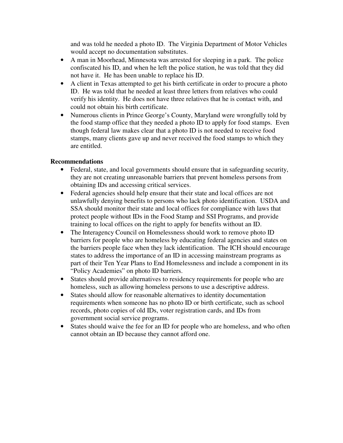and was told he needed a photo ID. The Virginia Department of Motor Vehicles would accept no documentation substitutes.

- A man in Moorhead, Minnesota was arrested for sleeping in a park. The police confiscated his ID, and when he left the police station, he was told that they did not have it. He has been unable to replace his ID.
- A client in Texas attempted to get his birth certificate in order to procure a photo ID. He was told that he needed at least three letters from relatives who could verify his identity. He does not have three relatives that he is contact with, and could not obtain his birth certificate.
- Numerous clients in Prince George's County, Maryland were wrongfully told by the food stamp office that they needed a photo ID to apply for food stamps. Even though federal law makes clear that a photo ID is not needed to receive food stamps, many clients gave up and never received the food stamps to which they are entitled.

## **Recommendations**

- Federal, state, and local governments should ensure that in safeguarding security, they are not creating unreasonable barriers that prevent homeless persons from obtaining IDs and accessing critical services.
- Federal agencies should help ensure that their state and local offices are not unlawfully denying benefits to persons who lack photo identification. USDA and SSA should monitor their state and local offices for compliance with laws that protect people without IDs in the Food Stamp and SSI Programs, and provide training to local offices on the right to apply for benefits without an ID.
- The Interagency Council on Homelessness should work to remove photo ID barriers for people who are homeless by educating federal agencies and states on the barriers people face when they lack identification. The ICH should encourage states to address the importance of an ID in accessing mainstream programs as part of their Ten Year Plans to End Homelessness and include a component in its "Policy Academies" on photo ID barriers.
- States should provide alternatives to residency requirements for people who are homeless, such as allowing homeless persons to use a descriptive address.
- States should allow for reasonable alternatives to identity documentation requirements when someone has no photo ID or birth certificate, such as school records, photo copies of old IDs, voter registration cards, and IDs from government social service programs.
- States should waive the fee for an ID for people who are homeless, and who often cannot obtain an ID because they cannot afford one.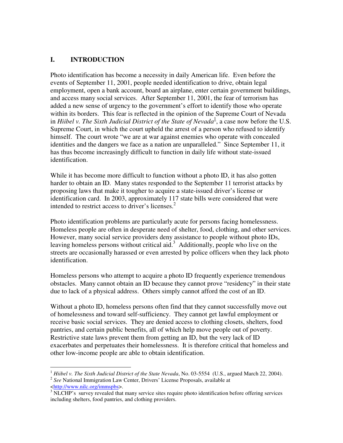## **I. INTRODUCTION**

Photo identification has become a necessity in daily American life. Even before the events of September 11, 2001, people needed identification to drive, obtain legal employment, open a bank account, board an airplane, enter certain government buildings, and access many social services. After September 11, 2001, the fear of terrorism has added a new sense of urgency to the government's effort to identify those who operate within its borders. This fear is reflected in the opinion of the Supreme Court of Nevada in *Hiibel v. The Sixth Judicial District of the State of Nevada* 1 , a case now before the U.S. Supreme Court, in which the court upheld the arrest of a person who refused to identify himself. The court wrote "we are at war against enemies who operate with concealed identities and the dangers we face as a nation are unparalleled." Since September 11, it has thus become increasingly difficult to function in daily life without state-issued identification.

While it has become more difficult to function without a photo ID, it has also gotten harder to obtain an ID. Many states responded to the September 11 terrorist attacks by proposing laws that make it tougher to acquire a state-issued driver's license or identification card. In 2003, approximately 117 state bills were considered that were intended to restrict access to driver's licenses.<sup>2</sup>

Photo identification problems are particularly acute for persons facing homelessness. Homeless people are often in desperate need of shelter, food, clothing, and other services. However, many social service providers deny assistance to people without photo IDs, leaving homeless persons without critical aid.<sup>3</sup> Additionally, people who live on the streets are occasionally harassed or even arrested by police officers when they lack photo identification.

Homeless persons who attempt to acquire a photo ID frequently experience tremendous obstacles. Many cannot obtain an ID because they cannot prove "residency" in their state due to lack of a physical address. Others simply cannot afford the cost of an ID.

Without a photo ID, homeless persons often find that they cannot successfully move out of homelessness and toward self-sufficiency. They cannot get lawful employment or receive basic social services. They are denied access to clothing closets, shelters, food pantries, and certain public benefits, all of which help move people out of poverty. Restrictive state laws prevent them from getting an ID, but the very lack of ID exacerbates and perpetuates their homelessness. It is therefore critical that homeless and other low-income people are able to obtain identification.

<sup>1</sup> *Hiibel v. The Sixth Judicial District of the State Nevada*, No. 03-5554 (U.S., argued March 22, 2004).

<sup>&</sup>lt;sup>2</sup> See National Immigration Law Center, Drivers' License Proposals, available at <http://www.nilc.org/immspbs>.

 $3$  NLCHP's survey revealed that many service sites require photo identification before offering services including shelters, food pantries, and clothing providers.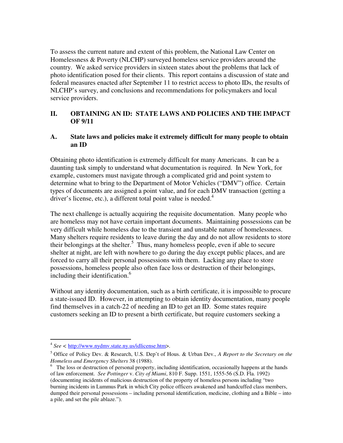To assess the current nature and extent of this problem, the National Law Center on Homelessness & Poverty (NLCHP) surveyed homeless service providers around the country. We asked service providers in sixteen states about the problems that lack of photo identification posed for their clients. This report contains a discussion of state and federal measures enacted after September 11 to restrict access to photo IDs, the results of NLCHP's survey, and conclusions and recommendations for policymakers and local service providers.

## **II. OBTAINING AN ID: STATE LAWS AND POLICIES AND THE IMPACT OF 9/11**

#### **A. State laws and policies make it extremely difficult for many people to obtain an ID**

Obtaining photo identification is extremely difficult for many Americans. It can be a daunting task simply to understand what documentation is required. In New York, for example, customers must navigate through a complicated grid and point system to determine what to bring to the Department of Motor Vehicles ("DMV") office. Certain types of documents are assigned a point value, and for each DMV transaction (getting a driver's license, etc.), a different total point value is needed.<sup>4</sup>

The next challenge is actually acquiring the requisite documentation. Many people who are homeless may not have certain important documents. Maintaining possessions can be very difficult while homeless due to the transient and unstable nature of homelessness. Many shelters require residents to leave during the day and do not allow residents to store their belongings at the shelter. 5 Thus, many homeless people, even if able to secure shelter at night, are left with nowhere to go during the day except public places, and are forced to carry all their personal possessions with them. Lacking any place to store possessions, homeless people also often face loss or destruction of their belongings, including their identification.<sup>6</sup>

Without any identity documentation, such as a birth certificate, it is impossible to procure a state-issued ID. However, in attempting to obtain identity documentation, many people find themselves in a catch-22 of needing an ID to get an ID. Some states require customers seeking an ID to present a birth certificate, but require customers seeking a

<sup>4</sup> *See <* http://www.nydmv.state.ny.us/idlicense.htm>.

<sup>5</sup> Office of Policy Dev. & Research, U.S. Dep't of Hous. & Urban Dev., *A Report to the Secretary on the Homeless and Emergency Shelters* 38 (1988).

 $6\degree$  The loss or destruction of personal property, including identification, occasionally happens at the hands of law enforcement. *See Pottinger* v. *City of Miami*, 810 F. Supp. 1551, 1555-56 (S.D. Fla. 1992) (documenting incidents of malicious destruction of the property of homeless persons including "two burning incidents in Lummus Park in which City police officers awakened and handcuffed class members, dumped their personal possessions – including personal identification, medicine, clothing and a Bible – into a pile, and set the pile ablaze.").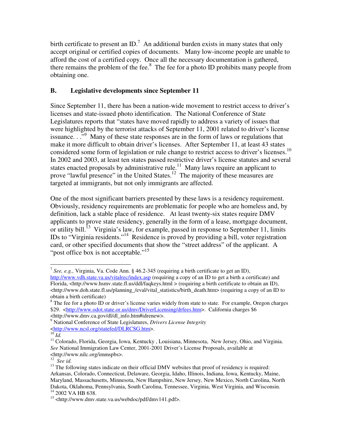birth certificate to present an ID.<sup>7</sup> An additional burden exists in many states that only accept original or certified copies of documents. Many low-income people are unable to afford the cost of a certified copy. Once all the necessary documentation is gathered, there remains the problem of the fee. $8\text{ }$  The fee for a photo ID prohibits many people from obtaining one.

## **B. Legislative developments since September 11**

Since September 11, there has been a nation-wide movement to restrict access to driver's licenses and state-issued photo identification. The National Conference of State Legislatures reports that "states have moved rapidly to address a variety of issues that were highlighted by the terrorist attacks of September 11, 2001 related to driver's license issuance..."<sup>9</sup> Many of these state responses are in the form of laws or regulations that make it more difficult to obtain driver's licenses. After September 11, at least 43 states considered some form of legislation or rule change to restrict access to driver's licenses.<sup>10</sup> In 2002 and 2003, at least ten states passed restrictive driver's license statutes and several states enacted proposals by administrative rule. $^{11}$  Many laws require an applicant to prove "lawful presence" in the United States.<sup>12</sup> The majority of these measures are targeted at immigrants, but not only immigrants are affected.

One of the most significant barriers presented by these laws is a residency requirement. Obviously, residency requirements are problematic for people who are homeless and, by definition, lack a stable place of residence. At least twenty-six states require DMV applicants to prove state residency, generally in the form of a lease, mortgage document, or utility bill.<sup>13</sup> Virginia's law, for example, passed in response to September 11, limits IDs to "Virginia residents."<sup>14</sup> Residence is proved by providing a bill, voter registration card, or other specified documents that show the "street address" of the applicant. A "post office box is not acceptable."<sup>15</sup>

<sup>7</sup> *See, e.g.,* Virginia, Va. Code Ann. § 46.2-345 (requiring a birth certificate to get an ID), http://www.vdh.state.va.us/vitalrec/index.asp (requiring a copy of an ID to get a birth a certificate) and Florida, <http://www.hsmv.state.fl.us/ddl/faqkeys.html > (requiring a birth certificate to obtain an ID),  $\text{th}(t)$ ://www.doh.state.fl.us/planning\_/eval/vital\_statistics/birth\_death.htm> (requiring a copy of an ID to obtain a birth certificate)

<sup>&</sup>lt;sup>8</sup> The fee for a photo ID or driver's license varies widely from state to state. For example, Oregon charges \$29. <http://www.odot.state.or.us/dmv/DriverLicensing/drfees.htm>. California charges \$6 <http://www.dmv.ca.gov/dl/dl\_info.htm#idrenew>.

<sup>9</sup> National Conference of State Legislatures, *Drivers License Integrity* \ttp://www.ncsl.org/statefed/DLRCSG.htm>.<br><sup>10</sup>Id.

<sup>&</sup>lt;sup>11</sup> Colorado, Florida, Georgia, Iowa, Kentucky, Louisiana, Minnesota, New Jersey, Ohio, and Virginia. *See* National Immigration Law Center, 2001-2001 Driver's License Proposals, available at <http://www.nilc.org/immspbs>.

<sup>12</sup> *See id.*

 $13$  The following states indicate on their official DMV websites that proof of residency is required: Arkansas, Colorado, Connecticut, Delaware, Georgia, Idaho, Illinois, Indiana, Iowa, Kentucky, Maine, Maryland, Massachusetts, Minnesota, New Hampshire, New Jersey, New Mexico, North Carolina, North Dakota, Oklahoma, Pennsylvania, South Carolina, Tennessee, Virginia, West Virginia, and Wisconsin. <sup>14</sup> 2002 VA HB 638.

<sup>&</sup>lt;sup>15</sup> <http://www.dmv.state.va.us/webdoc/pdf/dmv141.pdf>.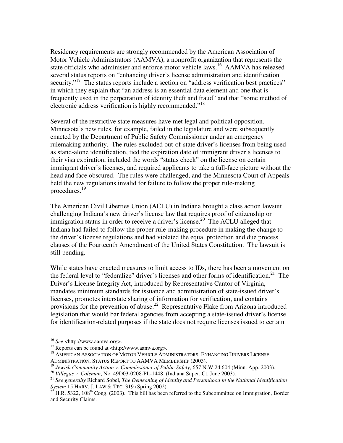Residency requirements are strongly recommended by the American Association of Motor Vehicle Administrators (AAMVA), a nonprofit organization that represents the state officials who administer and enforce motor vehicle laws.<sup>16</sup> AAMVA has released several status reports on "enhancing driver's license administration and identification security."<sup>17</sup> The status reports include a section on "address verification best practices" in which they explain that "an address is an essential data element and one that is frequently used in the perpetration of identity theft and fraud" and that "some method of electronic address verification is highly recommended."<sup>18</sup>

Several of the restrictive state measures have met legal and political opposition. Minnesota's new rules, for example, failed in the legislature and were subsequently enacted by the Department of Public Safety Commissioner under an emergency rulemaking authority. The rules excluded out-of-state driver's licenses from being used as stand-alone identification, tied the expiration date of immigrant driver's licenses to their visa expiration, included the words "status check" on the license on certain immigrant driver's licenses, and required applicants to take a full-face picture without the head and face obscured. The rules were challenged, and the Minnesota Court of Appeals held the new regulations invalid for failure to follow the proper rule-making procedures. 19

The American Civil Liberties Union (ACLU) in Indiana brought a class action lawsuit challenging Indiana's new driver's license law that requires proof of citizenship or immigration status in order to receive a driver's license.<sup>20</sup> The ACLU alleged that Indiana had failed to follow the proper rule-making procedure in making the change to the driver's license regulations and had violated the equal protection and due process clauses of the Fourteenth Amendment of the United States Constitution. The lawsuit is still pending.

While states have enacted measures to limit access to IDs, there has been a movement on the federal level to "federalize" driver's licenses and other forms of identification.<sup>21</sup> The Driver's License Integrity Act, introduced by Representative Cantor of Virginia, mandates minimum standards for issuance and administration of state-issued driver's licenses, promotes interstate sharing of information for verification, and contains provisions for the prevention of abuse.<sup>22</sup> Representative Flake from Arizona introduced legislation that would bar federal agencies from accepting a state-issued driver's license for identification-related purposes if the state does not require licenses issued to certain

<sup>16</sup> *See* <http://www.aamva.org>.

 $17$  Reports can be found at <http://www.aamva.org>.

<sup>&</sup>lt;sup>18</sup> AMERICAN ASSOCIATION OF MOTOR VEHICLE ADMINISTRATORS, ENHANCING DRIVERS LICENSE ADMINISTRATION, STATUS REPORT TO AAMVA MEMBERSHIP (2003).

<sup>19</sup> *Jewish Community Action v. Commissioner of Public Safety*, 657 N.W.2d 604 (Minn. App. 2003).

<sup>20</sup> *Villegas v. Coleman*, No. 49D03-0208-PL-1448, (Indiana Super. Ct. June 2003).

<sup>21</sup> *See generally* Richard Sobel, *The Demeaning of Identity and Personhood in the National Identification System* 15 HARV. J. LAW & TEC. 319 (Spring 2002).

 $^{22}$  H.R. 5322, 108<sup>th</sup> Cong. (2003). This bill has been referred to the Subcommittee on Immigration, Border and Security Claims.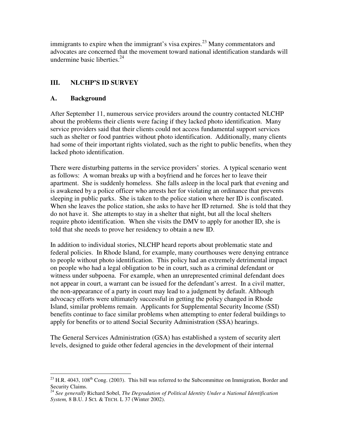immigrants to expire when the immigrant's visa expires.<sup>23</sup> Many commentators and advocates are concerned that the movement toward national identification standards will undermine basic liberties. 24

## **III. NLCHP'S ID SURVEY**

## **A. Background**

After September 11, numerous service providers around the country contacted NLCHP about the problems their clients were facing if they lacked photo identification. Many service providers said that their clients could not access fundamental support services such as shelter or food pantries without photo identification. Additionally, many clients had some of their important rights violated, such as the right to public benefits, when they lacked photo identification.

There were disturbing patterns in the service providers' stories. A typical scenario went as follows: A woman breaks up with a boyfriend and he forces her to leave their apartment. She is suddenly homeless. She falls asleep in the local park that evening and is awakened by a police officer who arrests her for violating an ordinance that prevents sleeping in public parks. She is taken to the police station where her ID is confiscated. When she leaves the police station, she asks to have her ID returned. She is told that they do not have it. She attempts to stay in a shelter that night, but all the local shelters require photo identification. When she visits the DMV to apply for another ID, she is told that she needs to prove her residency to obtain a new ID.

In addition to individual stories, NLCHP heard reports about problematic state and federal policies. In Rhode Island, for example, many courthouses were denying entrance to people without photo identification. This policy had an extremely detrimental impact on people who had a legal obligation to be in court, such as a criminal defendant or witness under subpoena. For example, when an unrepresented criminal defendant does not appear in court, a warrant can be issued for the defendant's arrest. In a civil matter, the non-appearance of a party in court may lead to a judgment by default. Although advocacy efforts were ultimately successful in getting the policy changed in Rhode Island, similar problems remain. Applicants for Supplemental Security Income (SSI) benefits continue to face similar problems when attempting to enter federal buildings to apply for benefits or to attend Social Security Administration (SSA) hearings.

The General Services Administration (GSA) has established a system of security alert levels, designed to guide other federal agencies in the development of their internal

 $^{23}$  H.R. 4043, 108<sup>th</sup> Cong. (2003). This bill was referred to the Subcommittee on Immigration, Border and Security Claims. 24 *See generally* Richard Sobel, *The Degradation of Political Identity Under a National Identification*

*System,* 8 B.U. J SCI. & TECH. L 37 (Winter 2002).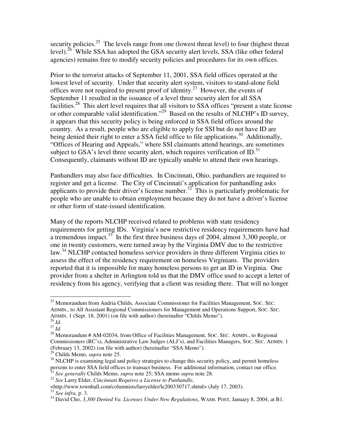security policies.<sup>25</sup> The levels range from one (lowest threat level) to four (highest threat level).<sup>26</sup> While SSA has adopted the GSA security alert levels, SSA (like other federal agencies) remains free to modify security policies and procedures for its own offices.

Prior to the terrorist attacks of September 11, 2001, SSA field offices operated at the lowest level of security. Under that security alert system, visitors to stand-alone field offices were not required to present proof of identity.<sup>27</sup> However, the events of September 11 resulted in the issuance of a level three security alert for all SSA facilities.<sup>28</sup> This alert level requires that all visitors to SSA offices "present a state license or other comparable valid identification."<sup>29</sup> Based on the results of NLCHP's ID survey, it appears that this security policy is being enforced in SSA field offices around the country. As a result, people who are eligible to apply for SSI but do not have ID are being denied their right to enter a SSA field office to file applications.<sup>30</sup> Additionally, "Offices of Hearing and Appeals," where SSI claimants attend hearings, are sometimes subject to GSA's level three security alert, which requires verification of  $ID$ .<sup>31</sup> Consequently, claimants without ID are typically unable to attend their own hearings.

Panhandlers may also face difficulties. In Cincinnati, Ohio, panhandlers are required to register and get a license. The City of Cincinnati's application for panhandling asks applicants to provide their driver's license number.<sup>32</sup> This is particularly problematic for people who are unable to obtain employment because they do not have a driver's license or other form of state-issued identification.

Many of the reports NLCHP received related to problems with state residency requirements for getting IDs. Virginia's new restrictive residency requirements have had a tremendous impact. $33$  In the first three business days of 2004, almost 3,300 people, or one in twenty customers, were turned away by the Virginia DMV due to the restrictive law.<sup>34</sup> NLCHP contacted homeless service providers in three different Virginia cities to assess the effect of the residency requirement on homeless Virginians. The providers reported that it is impossible for many homeless persons to get an ID in Virginia. One provider from a shelter in Arlington told us that the DMV office used to accept a letter of residency from his agency, verifying that a client was residing there. That will no longer

<sup>&</sup>lt;sup>25</sup> Memorandum from Andria Childs, Associate Commissioner for Facilities Management, SOC. SEC. ADMIN., to All Assistant Regional Commissioners for Management and Operations Support, SOC. SEC. ADMIN. 1 (Sept. 18, 2001) (on file with author) (hereinafter "Childs Memo").

<sup>26</sup> *Id.* 27 *Id.*

 $^{28}$  Memorandum # AM-02034, from Office of Facilities Management, Soc. SEC. ADMIN., to Regional Commissioners (RC's), Administrative Law Judges (ALJ's), and Facilities Managers, SOC. SEC. ADMIN. 1 (February 13, 2002) (on file with author) (hereinafter "SSA Memo").

<sup>29</sup> Childs Memo, *supra* note 25.

 $30$  NLCHP is examining legal and policy strategies to change this security policy, and permit homeless persons to enter SSA field offices to transact business. For additional information, contact our office. 31 *See generally* Childs Memo, *supra* note 25; SSA memo *supra* note 28.

<sup>32</sup> *See* Larry Elder, *Cincinnati Requires a License to Panhandle*,

 $\langle$ http://www.townhall.com/columnists/larryelder/le200330717.shtml> (July 17, 2003).<br><sup>33</sup> *See infra*, p. 3.

<sup>34</sup> David Cho, *3,300 Denied Va. Licenses Under New Regulations*, WASH. POST, January 8, 2004, at B1.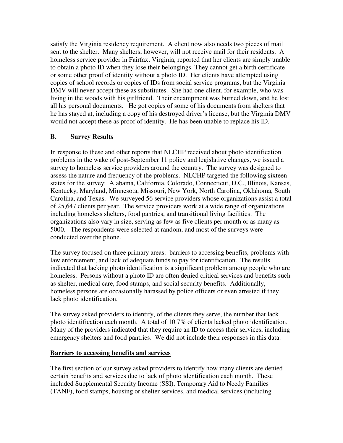satisfy the Virginia residency requirement. A client now also needs two pieces of mail sent to the shelter. Many shelters, however, will not receive mail for their residents. A homeless service provider in Fairfax, Virginia, reported that her clients are simply unable to obtain a photo ID when they lose their belongings. They cannot get a birth certificate or some other proof of identity without a photo ID. Her clients have attempted using copies of school records or copies of IDs from social service programs, but the Virginia DMV will never accept these as substitutes. She had one client, for example, who was living in the woods with his girlfriend. Their encampment was burned down, and he lost all his personal documents. He got copies of some of his documents from shelters that he has stayed at, including a copy of his destroyed driver's license, but the Virginia DMV would not accept these as proof of identity. He has been unable to replace his ID.

## **B. Survey Results**

In response to these and other reports that NLCHP received about photo identification problems in the wake of post-September 11 policy and legislative changes, we issued a survey to homeless service providers around the country. The survey was designed to assess the nature and frequency of the problems. NLCHP targeted the following sixteen states for the survey: Alabama, California, Colorado, Connecticut, D.C., Illinois, Kansas, Kentucky, Maryland, Minnesota, Missouri, New York, North Carolina, Oklahoma, South Carolina, and Texas. We surveyed 56 service providers whose organizations assist a total of 25,647 clients per year. The service providers work at a wide range of organizations including homeless shelters, food pantries, and transitional living facilities. The organizations also vary in size, serving as few as five clients per month or as many as 5000. The respondents were selected at random, and most of the surveys were conducted over the phone.

The survey focused on three primary areas: barriers to accessing benefits, problems with law enforcement, and lack of adequate funds to pay for identification. The results indicated that lacking photo identification is a significant problem among people who are homeless. Persons without a photo ID are often denied critical services and benefits such as shelter, medical care, food stamps, and social security benefits. Additionally, homeless persons are occasionally harassed by police officers or even arrested if they lack photo identification.

The survey asked providers to identify, of the clients they serve, the number that lack photo identification each month. A total of 10.7% of clients lacked photo identification. Many of the providers indicated that they require an ID to access their services, including emergency shelters and food pantries. We did not include their responses in this data.

## **Barriers to accessing benefits and services**

The first section of our survey asked providers to identify how many clients are denied certain benefits and services due to lack of photo identification each month. These included Supplemental Security Income (SSI), Temporary Aid to Needy Families (TANF), food stamps, housing or shelter services, and medical services (including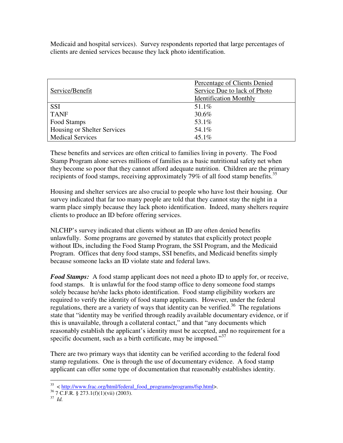Medicaid and hospital services). Survey respondents reported that large percentages of clients are denied services because they lack photo identification.

|                             | Percentage of Clients Denied  |
|-----------------------------|-------------------------------|
| Service/Benefit             | Service Due to lack of Photo  |
|                             | <b>Identification Monthly</b> |
| <b>SSI</b>                  | $51.1\%$                      |
| <b>TANF</b>                 | 30.6%                         |
| Food Stamps                 | 53.1%                         |
| Housing or Shelter Services | 54.1%                         |
| <b>Medical Services</b>     | $45.1\%$                      |

These benefits and services are often critical to families living in poverty. The Food Stamp Program alone serves millions of families as a basic nutritional safety net when they become so poor that they cannot afford adequate nutrition. Children are the primary recipients of food stamps, receiving approximately 79% of all food stamp benefits.<sup>35</sup>

Housing and shelter services are also crucial to people who have lost their housing. Our survey indicated that far too many people are told that they cannot stay the night in a warm place simply because they lack photo identification. Indeed, many shelters require clients to produce an ID before offering services.

NLCHP's survey indicated that clients without an ID are often denied benefits unlawfully. Some programs are governed by statutes that explicitly protect people without IDs, including the Food Stamp Program, the SSI Program, and the Medicaid Program. Offices that deny food stamps, SSI benefits, and Medicaid benefits simply because someone lacks an ID violate state and federal laws.

*Food Stamps:* A food stamp applicant does not need a photo ID to apply for, or receive, food stamps. It is unlawful for the food stamp office to deny someone food stamps solely because he/she lacks photo identification. Food stamp eligibility workers are required to verify the identity of food stamp applicants. However, under the federal regulations, there are a variety of ways that identity can be verified.<sup>36</sup> The regulations state that "identity may be verified through readily available documentary evidence, or if this is unavailable, through a collateral contact," and that "any documents which reasonably establish the applicant's identity must be accepted, and no requirement for a specific document, such as a birth certificate, may be imposed."<sup>37</sup>

There are two primary ways that identity can be verified according to the federal food stamp regulations. One is through the use of documentary evidence. A food stamp applicant can offer some type of documentation that reasonably establishes identity.

<sup>&</sup>lt;sup>35</sup> < http://www.frac.org/html/federal\_food\_programs/programs/fsp.html>.

 $36$  7 C.F.R. § 273.1(f)(1)(vii) (2003).

<sup>37</sup> *Id.*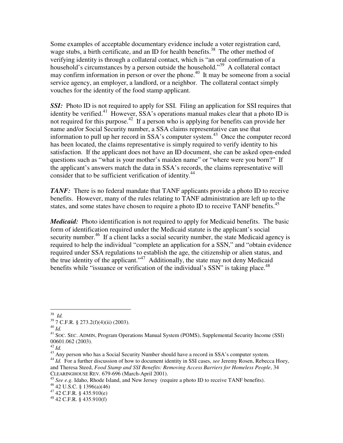Some examples of acceptable documentary evidence include a voter registration card, wage stubs, a birth certificate, and an ID for health benefits.<sup>38</sup> The other method of verifying identity is through a collateral contact, which is "an oral confirmation of a household's circumstances by a person outside the household."<sup>39</sup> A collateral contact may confirm information in person or over the phone. 40 It may be someone from a social service agency, an employer, a landlord, or a neighbor. The collateral contact simply vouches for the identity of the food stamp applicant.

**SSI:** Photo ID is not required to apply for SSI. Filing an application for SSI requires that identity be verified.<sup>41</sup> However, SSA's operations manual makes clear that a photo ID is not required for this purpose.<sup>42</sup> If a person who is applying for benefits can provide her name and/or Social Security number, a SSA claims representative can use that information to pull up her record in SSA's computer system.<sup>43</sup> Once the computer record has been located, the claims representative is simply required to verify identity to his satisfaction. If the applicant does not have an ID document, she can be asked open-ended questions such as "what is your mother's maiden name" or "where were you born?" If the applicant's answers match the data in SSA's records, the claims representative will consider that to be sufficient verification of identity.<sup>44</sup>

*TANF*: There is no federal mandate that TANF applicants provide a photo ID to receive benefits. However, many of the rules relating to TANF administration are left up to the states, and some states have chosen to require a photo ID to receive TANF benefits.<sup>45</sup>

*Medicaid:* Photo identification is not required to apply for Medicaid benefits. The basic form of identification required under the Medicaid statute is the applicant's social security number.<sup>46</sup> If a client lacks a social security number, the state Medicaid agency is required to help the individual "complete an application for a SSN," and "obtain evidence required under SSA regulations to establish the age, the citizenship or alien status, and the true identity of the applicant."<sup>47</sup> Additionally, the state may not deny Medicaid benefits while "issuance or verification of the individual's SSN" is taking place.<sup>48</sup>

<sup>38</sup> *Id.*

<sup>39</sup> 7 C.F.R. § 273.2(f)(4)(ii) (2003).

<sup>40</sup> *Id.*

<sup>&</sup>lt;sup>41</sup> SOC. SEC. ADMIN, Program Operations Manual System (POMS), Supplemental Security Income (SSI) 00601.062 (2003).

<sup>42</sup> *Id.*

 $43$  Any person who has a Social Security Number should have a record in SSA's computer system.

<sup>&</sup>lt;sup>44</sup> *Id.* For a further discussion of how to document identity in SSI cases, see Jeremy Rosen, Rebecca Hoey, and Theresa Steed, *Food Stamp and SSI Benefits: Removing Access Barriers for Homeless People*, 34 CLEARINGHOUSE REV. 679-696 (March-April 2001).

<sup>&</sup>lt;sup>45</sup> See e.g. Idaho, Rhode Island, and New Jersey (require a photo ID to receive TANF benefits).

<sup>46</sup> 42 U.S.C. § 1396(a)(46)

 $47$  42 C.F.R. § 435.910(e)

<sup>48</sup> 42 C.F.R. § 435.910(f)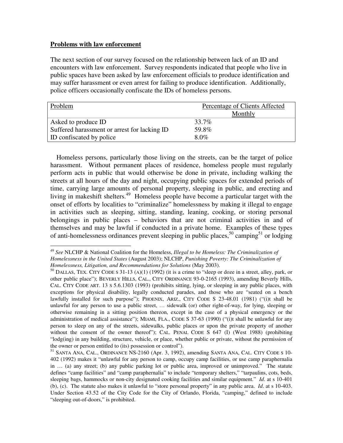#### **Problems with law enforcement**

The next section of our survey focused on the relationship between lack of an ID and encounters with law enforcement. Survey respondents indicated that people who live in public spaces have been asked by law enforcement officials to produce identification and may suffer harassment or even arrest for failing to produce identification. Additionally, police officers occasionally confiscate the IDs of homeless persons.

| Problem                                      | Percentage of Clients Affected |
|----------------------------------------------|--------------------------------|
|                                              | Monthly                        |
| Asked to produce ID                          | 33.7%                          |
| Suffered harassment or arrest for lacking ID | 59.8%                          |
| ID confiscated by police                     | 80%                            |

Homeless persons, particularly those living on the streets, can be the target of police harassment. Without permanent places of residence, homeless people must regularly perform acts in public that would otherwise be done in private, including walking the streets at all hours of the day and night, occupying public spaces for extended periods of time, carrying large amounts of personal property, sleeping in public, and erecting and living in makeshift shelters.<sup>49</sup> Homeless people have become a particular target with the onset of efforts by localities to "criminalize" homelessness by making it illegal to engage in activities such as sleeping, sitting, standing, leaning, cooking, or storing personal belongings in public places – behaviors that are not criminal activities in and of themselves and may be lawful if conducted in a private home. Examples of these types of anti-homelessness ordinances prevent sleeping in public places,<sup>50</sup> camping<sup>51</sup> or lodging

<sup>49</sup> *See* NLCHP & National Coalition for the Homeless, *Illegal to be Homeless: The Criminalization of Homelessness in the United States* (August 2003); NLCHP, *Punishing Poverty: The Criminalization of Homelessness, Litigation, and Recommendations for Solutions* (May 2003).

<sup>&</sup>lt;sup>50</sup> DALLAS, TEX. CITY CODE S 31-13 (A)(1) (1992) (it is a crime to "sleep or doze in a street, alley, park, or other public place"); BEVERLY HILLS, CAL., CITY ORDINANCE 93-0-2165 (1993), amending Beverly Hills, CAL. CITY CODE ART. 13 S 5.6.1303 (1993) (prohibits sitting, lying, or sleeping in any public places, with exceptions for physical disability, legally conducted parades, and those who are "seated on a bench lawfully installed for such purpose"); PHOENIX, ARIZ., CITY CODE S 23-48.01 (1981) ("(i)t shall be unlawful for any person to use a public street, … sidewalk (or) other right-of-way, for lying, sleeping or otherwise remaining in a sitting position thereon, except in the case of a physical emergency or the administration of medical assistance"); MIAMI, FLA., CODE S 37-63 (1990) ("(i)t shall be unlawful for any person to sleep on any of the streets, sidewalks, public places or upon the private property of another without the consent of the owner thereof"); CAL. PENAL CODE S 647 (I) (West 1988) (prohibiting "lodg(ing) in any building, structure, vehicle, or place, whether public or private, without the permission of the owner or person entitled to (its) possession or control").

<sup>&</sup>lt;sup>51</sup> SANTA ANA, CAL., ORDINANCE NS-2160 (Apr. 3, 1992), amending SANTA ANA, CAL. CITY CODE S 10-402 (1992) makes it "unlawful for any person to camp, occupy camp facilities, or use camp paraphernalia in … (a) any street; (b) any public parking lot or public area, improved or unimproved." The statute defines "camp facilities" and "camp paraphernalia" to include "temporary shelters," "tarpaulins, cots, beds, sleeping bags, hammocks or non-city designated cooking facilities and similar equipment." *Id*. at s 10-401 (b), (c). The statute also makes it unlawful to "store personal property" in any public area. *Id*. at s 10-403. Under Section 43.52 of the City Code for the City of Orlando, Florida, "camping," defined to include "sleeping out-of-doors," is prohibited.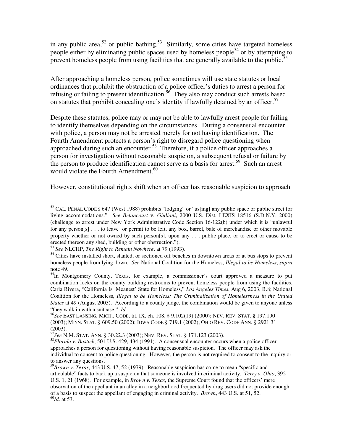in any public area,<sup>52</sup> or public bathing.<sup>53</sup> Similarly, some cities have targeted homeless people either by eliminating public spaces used by homeless people<sup>54</sup> or by attempting to prevent homeless people from using facilities that are generally available to the public.<sup>55</sup>

After approaching a homeless person, police sometimes will use state statutes or local ordinances that prohibit the obstruction of a police officer's duties to arrest a person for refusing or failing to present identification.<sup>56</sup> They also may conduct such arrests based on statutes that prohibit concealing one's identity if lawfully detained by an officer. 57

Despite these statutes, police may or may not be able to lawfully arrest people for failing to identify themselves depending on the circumstances. During a consensual encounter with police, a person may not be arrested merely for not having identification. The Fourth Amendment protects a person's right to disregard police questioning when approached during such an encounter. 58 Therefore, if a police officer approaches a person for investigation without reasonable suspicion, a subsequent refusal or failure by the person to produce identification cannot serve as a basis for arrest. 59 Such an arrest would violate the Fourth Amendment.<sup>60</sup>

However, constitutional rights shift when an officer has reasonable suspicion to approach

<sup>&</sup>lt;sup>52</sup> CAL. PENAL CODE S 647 (West 1988) prohibits "lodging" or "us[ing] any public space or public street for living accommodations." *See Betancourt* v. *Giuliani*, 2000 U.S. Dist. LEXIS 18516 (S.D.N.Y. 2000) (challenge to arrest under New York Administrative Code Section 16-122(b) under which it is "unlawful for any person[s] . . . to leave or permit to be left, any box, barrel, bale of merchandise or other movable property whether or not owned by such person[s], upon any . . . public place, or to erect or cause to be erected thereon any shed, building or other obstruction.").

<sup>53</sup> *See* NLCHP, *The Right to Remain Nowhere*, at 79 (1993).

<sup>&</sup>lt;sup>54</sup> Cities have installed short, slanted, or sectioned off benches in downtown areas or at bus stops to prevent homeless people from lying down. *See* National Coalition for the Homeless, *Illegal to be Homeless*, *supra* note 49.

<sup>&</sup>lt;sup>55</sup>In Montgomery County, Texas, for example, a commissioner's court approved a measure to put combination locks on the county building restrooms to prevent homeless people from using the facilities. Carla Rivera, "California Is 'Meanest' State for Homeless," *Los Angeles Times.* Aug 6, 2003, B.8; National Coalition for the Homeless, *Illegal to be Homeless: The Criminalization of Homelessness in the United States* at 49 (August 2003). According to a county judge, the combination would be given to anyone unless "they walk in with a suitcase." *Id*.

<sup>56</sup> *See* EAST LANSING, MICH., CODE, tit. IX, ch. 108, § 9.102(19) (2000); NEV. REV. STAT. § 197.190 (2003); MINN. STAT. § 609.50 (2002); IOWA CODE § 719.1 (2002); OHIO REV. CODE ANN. § 2921.31

<sup>(2003).</sup> 57 *See* N.M. STAT. ANN. § 30.22.3 (2003); NEV. REV. STAT. § 171.123 (2003).

<sup>58</sup>*Florida v. Bostick*, 501 U.S. 429, 434 (1991). A consensual encounter occurs when a police officer approaches a person for questioning without having reasonable suspicion. The officer may ask the individual to consent to police questioning. However, the person is not required to consent to the inquiry or to answer any questions.

<sup>59</sup>*Brown v. Texas*, 443 U.S. 47, 52 (1979). Reasonable suspicion has come to mean "specific and articulable" facts to back up a suspicion that someone is involved in criminal activity. *Terry v. Ohio*, 392 U.S. 1, 21 (1968). For example, in *Brown v. Texas*, the Supreme Court found that the officers' mere observation of the appellant in an alley in a neighborhood frequented by drug users did not provide enough of a basis to suspect the appellant of engaging in criminal activity. *Brown*, 443 U.S. at 51, 52. 60 *Id*. at 53.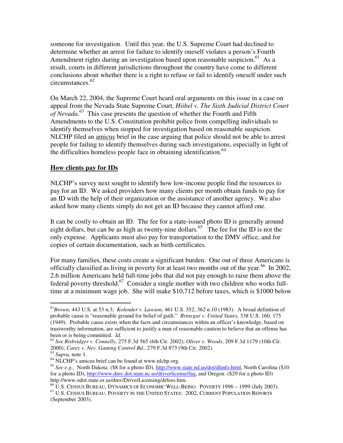someone for investigation. Until this year, the U.S. Supreme Court had declined to determine whether an arrest for failure to identify oneself violates a person's Fourth Amendment rights during an investigation based upon reasonable suspicion.<sup>61</sup> As a result, courts in different jurisdictions throughout the country have come to different conclusions about whether there is a right to refuse or fail to identify oneself under such circumstances. 62

On March 22, 2004, the Supreme Court heard oral arguments on this issue in a case on appeal from the Nevada State Supreme Court, *Hiibel v. The Sixth Judicial District Court of Nevada*. 63 This case presents the question of whether the Fourth and Fifth Amendments to the U.S. Constitution prohibit police from compelling individuals to identify themselves when stopped for investigation based on reasonable suspicion. NLCHP filed an amicus brief in the case arguing that police should not be able to arrest people for failing to identify themselves during such investigations, especially in light of the difficulties homeless people face in obtaining identification.<sup>64</sup>

## **How clients pay for IDs**

NLCHP's survey next sought to identify how low-income people find the resources to pay for an ID. We asked providers how many clients per month obtain funds to pay for an ID with the help of their organization or the assistance of another agency. We also asked how many clients simply do not get an ID because they cannot afford one.

It can be costly to obtain an ID. The fee for a state-issued photo ID is generally around eight dollars, but can be as high as twenty-nine dollars.<sup>65</sup> The fee for the ID is not the only expense. Applicants must also pay for transportation to the DMV office, and for copies of certain documentation, such as birth certificates.

For many families, these costs create a significant burden. One out of three Americans is officially classified as living in poverty for at least two months out of the year.<sup>66</sup> In 2002, 2.6 million Americans held full-time jobs that did not pay enough to raise them above the federal poverty threshold.<sup>67</sup> Consider a single mother with two children who works fulltime at a minimum wage job. She will make \$10,712 before taxes, which is \$1000 below

<sup>61</sup>*Brown*, 443 U.S. at 53 n.3; *Kolender v. Lawson*, 461 U.S. 352, 362 n.10 (1983). A broad definition of probable cause is "reasonable ground for belief of guilt." *Brinegar v. United States*, 338 U.S. 160, 175 (1949). Probable cause exists when the facts and circumstances within an officer's knowledge, based on trustworthy information, are sufficient to justify a man of reasonable caution to believe that an offense has been or is being committed. *Id.*

<sup>62</sup> *See Risbridger v. Connelly*, 275 F.3d 565 (6th Cir. 2002); *Oliver v. Woods*, 209 F.3d 1179 (10th Cir. 2000); *Carey v. Nev. Gaming Control Bd*., 279 F.3d 873 (9th Cir. 2002).

<sup>63</sup> *Supra,* note 1.

<sup>64</sup> NLCHP's amicus brief can be found at www.nlchp.org.

<sup>&</sup>lt;sup>65</sup> See e.g., North Dakota (\$8 for a photo ID), http://www.state.nd.us/dot/dlinfo.html, North Carolina (\$10 for a photo ID), http://www.dmv.dot.state.nc.us/driverlicense/faq, and Oregon (\$29 for a photo ID) http://www.odot.state.or.us/dmv/DriverLicensing/drfees.htm.

<sup>66</sup> U.S. CENSUS BUREAU, DYNAMICS OF ECONOMIC WELL-BEING: POVERTY 1996 – 1999 (July 2003). <sup>67</sup> U.S. CENSUS BUREAU, POVERTY IN THE UNITED STATES: 2002, CURRENT POPULATION REPORTS (September 2003).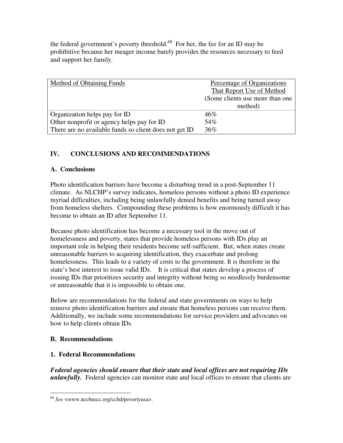the federal government's poverty threshold.<sup>68</sup> For her, the fee for an ID may be prohibitive because her meager income barely provides the resources necessary to feed and support her family.

| Method of Obtaining Funds                              | Percentage of Organizations<br>That Report Use of Method<br>(Some clients use more than one)<br>method) |
|--------------------------------------------------------|---------------------------------------------------------------------------------------------------------|
| Organization helps pay for ID                          | 46%                                                                                                     |
| Other nonprofit or agency helps pay for ID             | 54%                                                                                                     |
| There are no available funds so client does not get ID | 36%                                                                                                     |

## **IV. CONCLUSIONS AND RECOMMENDATIONS**

## **A. Conclusions**

Photo identification barriers have become a disturbing trend in a post-September 11 climate. As NLCHP's survey indicates, homeless persons without a photo ID experience myriad difficulties, including being unlawfully denied benefits and being turned away from homeless shelters. Compounding these problems is how enormously difficult it has become to obtain an ID after September 11.

Because photo identification has become a necessary tool in the move out of homelessness and poverty, states that provide homeless persons with IDs play an important role in helping their residents become self-sufficient. But, when states create unreasonable barriers to acquiring identification, they exacerbate and prolong homelessness. This leads to a variety of costs to the government. It is therefore in the state's best interest to issue valid IDs. It is critical that states develop a process of issuing IDs that prioritizes security and integrity without being so needlessly burdensome or unreasonable that it is impossible to obtain one.

Below are recommendations for the federal and state governments on ways to help remove photo identification barriers and ensure that homeless persons can receive them. Additionally, we include some recommendations for service providers and advocates on how to help clients obtain IDs.

## **B. Recommendations**

## **1. Federal Recommendations**

*Federal agencies should ensure that their state and local offices are not requiring IDs unlawfully.* Federal agencies can monitor state and local offices to ensure that clients are

<sup>68</sup> *See* <www.nccbuscc.org/cchd/povertyusa>.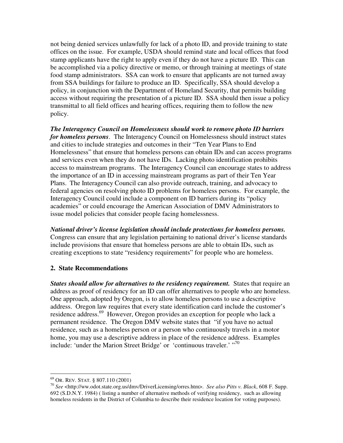not being denied services unlawfully for lack of a photo ID, and provide training to state offices on the issue. For example, USDA should remind state and local offices that food stamp applicants have the right to apply even if they do not have a picture ID. This can be accomplished via a policy directive or memo, or through training at meetings of state food stamp administrators. SSA can work to ensure that applicants are not turned away from SSA buildings for failure to produce an ID. Specifically, SSA should develop a policy, in conjunction with the Department of Homeland Security, that permits building access without requiring the presentation of a picture ID. SSA should then issue a policy transmittal to all field offices and hearing offices, requiring them to follow the new policy.

*The Interagency Council on Homelessness should work to remove photo ID barriers for homeless persons*. The Interagency Council on Homelessness should instruct states and cities to include strategies and outcomes in their "Ten Year Plans to End Homelessness" that ensure that homeless persons can obtain IDs and can access programs and services even when they do not have IDs. Lacking photo identification prohibits access to mainstream programs. The Interagency Council can encourage states to address the importance of an ID in accessing mainstream programs as part of their Ten Year Plans. The Interagency Council can also provide outreach, training, and advocacy to federal agencies on resolving photo ID problems for homeless persons. For example, the Interagency Council could include a component on ID barriers during its "policy academies" or could encourage the American Association of DMV Administrators to issue model policies that consider people facing homelessness.

*National driver's license legislation should include protections for homeless persons.* Congress can ensure that any legislation pertaining to national driver's license standards include provisions that ensure that homeless persons are able to obtain IDs, such as creating exceptions to state "residency requirements" for people who are homeless.

## **2. State Recommendations**

*States should allow for alternatives to the residency requirement.* States that require an address as proof of residency for an ID can offer alternatives to people who are homeless. One approach, adopted by Oregon, is to allow homeless persons to use a descriptive address. Oregon law requires that every state identification card include the customer's residence address.<sup>69</sup> However, Oregon provides an exception for people who lack a permanent residence. The Oregon DMV website states that "if you have no actual residence, such as a homeless person or a person who continuously travels in a motor home, you may use a descriptive address in place of the residence address. Examples include: 'under the Marion Street Bridge' or 'continuous traveler.' "70

<sup>69</sup> OR. REV. STAT. § 807.110 (2001)

<sup>70</sup> *See* <http://ww.odot.state.org.us/dmv/DriverLicensing/orres.htm>. *See also Pitts v. Black*, 608 F. Supp. 692 (S.D.N.Y. 1984) ( listing a number of alternative methods of verifying residency, such as allowing homeless residents in the District of Columbia to describe their residence location for voting purposes).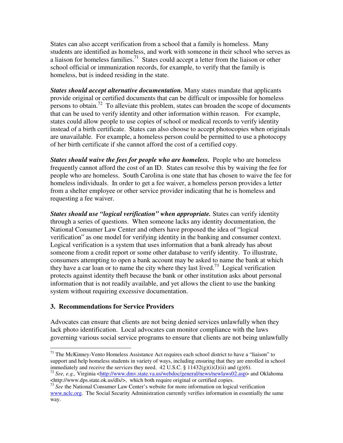States can also accept verification from a school that a family is homeless. Many students are identified as homeless, and work with someone in their school who serves as a liaison for homeless families.<sup>71</sup> States could accept a letter from the liaison or other school official or immunization records, for example, to verify that the family is homeless, but is indeed residing in the state.

*States should accept alternative documentation.* Many states mandate that applicants provide original or certified documents that can be difficult or impossible for homeless persons to obtain.<sup>72</sup> To alleviate this problem, states can broaden the scope of documents that can be used to verify identity and other information within reason. For example, states could allow people to use copies of school or medical records to verify identity instead of a birth certificate. States can also choose to accept photocopies when originals are unavailable. For example, a homeless person could be permitted to use a photocopy of her birth certificate if she cannot afford the cost of a certified copy.

*States should waive the fees for people who are homeless.* People who are homeless frequently cannot afford the cost of an ID. States can resolve this by waiving the fee for people who are homeless. South Carolina is one state that has chosen to waive the fee for homeless individuals. In order to get a fee waiver, a homeless person provides a letter from a shelter employee or other service provider indicating that he is homeless and requesting a fee waiver.

*States should use "logical verification" when appropriate.* States can verify identity through a series of questions. When someone lacks any identity documentation, the National Consumer Law Center and others have proposed the idea of "logical verification" as one model for verifying identity in the banking and consumer context. Logical verification is a system that uses information that a bank already has about someone from a credit report or some other database to verify identity. To illustrate, consumers attempting to open a bank account may be asked to name the bank at which they have a car loan or to name the city where they last lived.<sup>73</sup> Logical verification protects against identity theft because the bank or other institution asks about personal information that is not readily available, and yet allows the client to use the banking system without requiring excessive documentation.

#### **3. Recommendations for Service Providers**

Advocates can ensure that clients are not being denied services unlawfully when they lack photo identification. Local advocates can monitor compliance with the laws governing various social service programs to ensure that clients are not being unlawfully

 $71$  The McKinney-Vento Homeless Assistance Act requires each school district to have a "liaison" to support and help homeless students in variety of ways, including ensuring that they are enrolled in school immediately and receive the services they need. 42 U.S.C. §  $11432(g)(i)(J)(ii)$  and (g)(6).

<sup>&</sup>lt;sup>72</sup> See, e.g., Virginia <http://www.dmv.state.va.us/webdoc/general/news/newlaws02.asp> and Oklahoma Ahttp://www.dps.state.ok.us/dls/>, which both require original or certified copies.<br><sup>73</sup> *See* the National Consumer Law Center's website for more information on logical verification

www.nclc.org. The Social Security Administration currently verifies information in essentially the same way.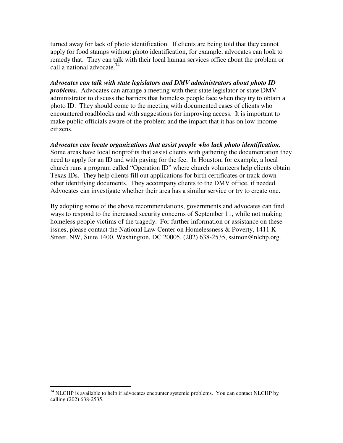turned away for lack of photo identification. If clients are being told that they cannot apply for food stamps without photo identification, for example, advocates can look to remedy that. They can talk with their local human services office about the problem or call a national advocate. 74

*Advocates can talk with state legislators and DMV administrators about photo ID problems.* Advocates can arrange a meeting with their state legislator or state DMV administrator to discuss the barriers that homeless people face when they try to obtain a photo ID. They should come to the meeting with documented cases of clients who encountered roadblocks and with suggestions for improving access. It is important to make public officials aware of the problem and the impact that it has on low-income citizens.

*Advocates can locate organizations that assist people who lack photo identification.* Some areas have local nonprofits that assist clients with gathering the documentation they need to apply for an ID and with paying for the fee. In Houston, for example, a local church runs a program called "Operation ID" where church volunteers help clients obtain Texas IDs. They help clients fill out applications for birth certificates or track down other identifying documents. They accompany clients to the DMV office, if needed. Advocates can investigate whether their area has a similar service or try to create one.

By adopting some of the above recommendations, governments and advocates can find ways to respond to the increased security concerns of September 11, while not making homeless people victims of the tragedy. For further information or assistance on these issues, please contact the National Law Center on Homelessness  $\&$  Poverty, 1411 K Street, NW, Suite 1400, Washington, DC 20005, (202) 638-2535, ssimon@nlchp.org.

 $74$  NLCHP is available to help if advocates encounter systemic problems. You can contact NLCHP by calling (202) 638-2535.